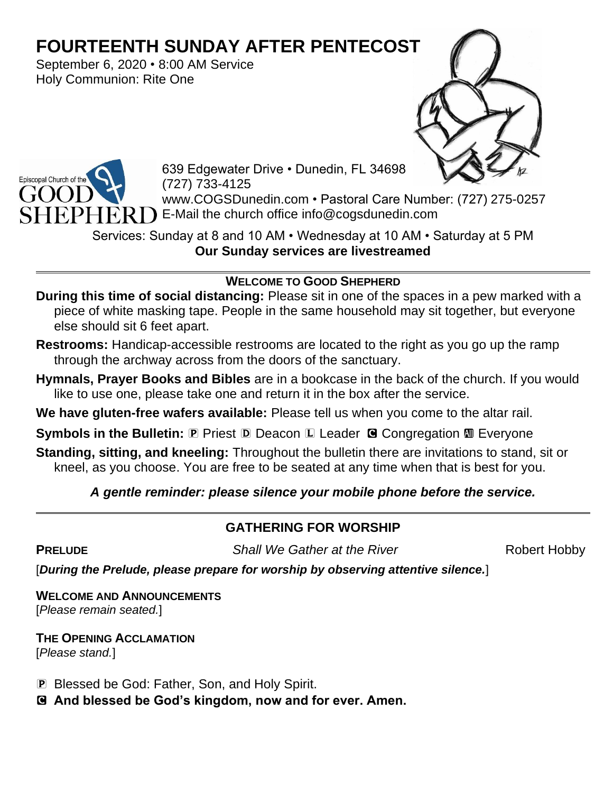# **FOURTEENTH SUNDAY AFTER PENTECOST**

September 6, 2020 • 8:00 AM Service Holy Communion: Rite One





639 Edgewater Drive • Dunedin, FL 34698 (727) 733-4125 www.COGSDunedin.com • Pastoral Care Number: (727) 275-0257 E-Mail the church office info@cogsdunedin.com

Services: Sunday at 8 and 10 AM • Wednesday at 10 AM • Saturday at 5 PM **Our Sunday services are livestreamed**

### **WELCOME TO GOOD SHEPHERD**

**During this time of social distancing:** Please sit in one of the spaces in a pew marked with a piece of white masking tape. People in the same household may sit together, but everyone else should sit 6 feet apart.

- **Restrooms:** Handicap-accessible restrooms are located to the right as you go up the ramp through the archway across from the doors of the sanctuary.
- **Hymnals, Prayer Books and Bibles** are in a bookcase in the back of the church. If you would like to use one, please take one and return it in the box after the service.

**We have gluten-free wafers available:** Please tell us when you come to the altar rail.

**Symbols in the Bulletin: P** Priest **D** Deacon **L** Leader **G** Congregation **M** Everyone

**Standing, sitting, and kneeling:** Throughout the bulletin there are invitations to stand, sit or kneel, as you choose. You are free to be seated at any time when that is best for you.

# *A gentle reminder: please silence your mobile phone before the service.*

# **GATHERING FOR WORSHIP**

**PRELUDE** Shall We Gather at the River Robert Hobby

[*During the Prelude, please prepare for worship by observing attentive silence.*]

**WELCOME AND ANNOUNCEMENTS** [*Please remain seated.*]

**THE OPENING ACCLAMATION** [*Please stand.*]

P Blessed be God: Father, Son, and Holy Spirit.

C **And blessed be God's kingdom, now and for ever. Amen.**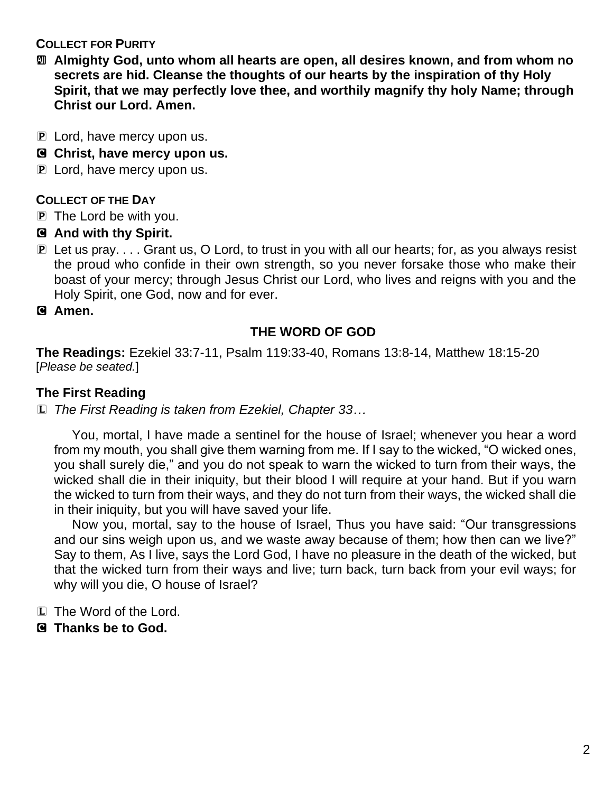### **COLLECT FOR PURITY**

- a **Almighty God, unto whom all hearts are open, all desires known, and from whom no secrets are hid. Cleanse the thoughts of our hearts by the inspiration of thy Holy Spirit, that we may perfectly love thee, and worthily magnify thy holy Name; through Christ our Lord. Amen.**
- **P** Lord, have mercy upon us.
- C **Christ, have mercy upon us.**
- **P** Lord, have mercy upon us.

### **COLLECT OF THE DAY**

- P The Lord be with you.
- C **And with thy Spirit.**
- P Let us pray. . . . Grant us, O Lord, to trust in you with all our hearts; for, as you always resist the proud who confide in their own strength, so you never forsake those who make their boast of your mercy; through Jesus Christ our Lord, who lives and reigns with you and the Holy Spirit, one God, now and for ever.

#### C **Amen.**

### **THE WORD OF GOD**

**The Readings:** Ezekiel 33:7-11, Psalm 119:33-40, Romans 13:8-14, Matthew 18:15-20 [*Please be seated.*]

### **The First Reading**

L *The First Reading is taken from Ezekiel, Chapter 33…*

You, mortal, I have made a sentinel for the house of Israel; whenever you hear a word from my mouth, you shall give them warning from me. If I say to the wicked, "O wicked ones, you shall surely die," and you do not speak to warn the wicked to turn from their ways, the wicked shall die in their iniquity, but their blood I will require at your hand. But if you warn the wicked to turn from their ways, and they do not turn from their ways, the wicked shall die in their iniquity, but you will have saved your life.

Now you, mortal, say to the house of Israel, Thus you have said: "Our transgressions and our sins weigh upon us, and we waste away because of them; how then can we live?" Say to them, As I live, says the Lord God, I have no pleasure in the death of the wicked, but that the wicked turn from their ways and live; turn back, turn back from your evil ways; for why will you die, O house of Israel?

- L The Word of the Lord.
- C **Thanks be to God.**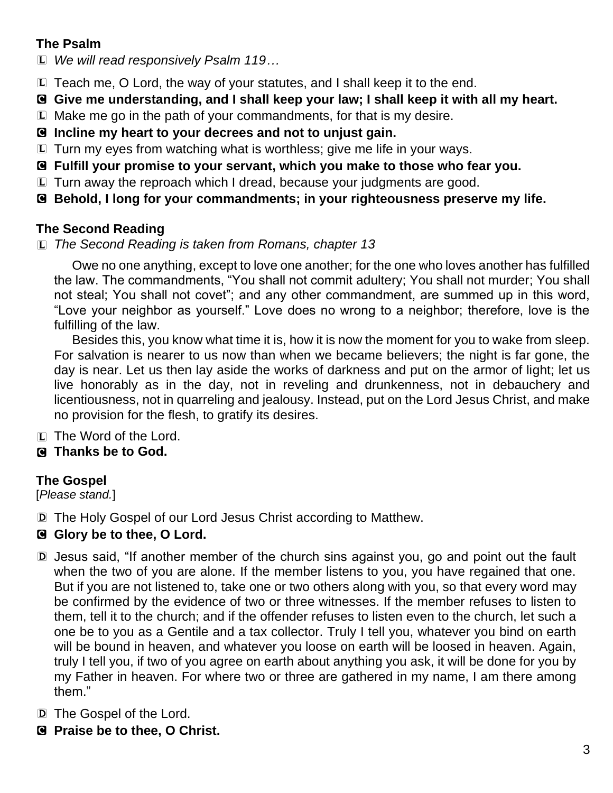# **The Psalm**

L *We will read responsively Psalm 119…*

- L Teach me, O Lord, the way of your statutes, and I shall keep it to the end.
- C **Give me understanding, and I shall keep your law; I shall keep it with all my heart.**
- L Make me go in the path of your commandments, for that is my desire.
- C **Incline my heart to your decrees and not to unjust gain.**
- L Turn my eyes from watching what is worthless; give me life in your ways.
- C **Fulfill your promise to your servant, which you make to those who fear you.**
- L Turn away the reproach which I dread, because your judgments are good.
- C **Behold, I long for your commandments; in your righteousness preserve my life.**

# **The Second Reading**

L *The Second Reading is taken from Romans, chapter 13*

Owe no one anything, except to love one another; for the one who loves another has fulfilled the law. The commandments, "You shall not commit adultery; You shall not murder; You shall not steal; You shall not covet"; and any other commandment, are summed up in this word, "Love your neighbor as yourself." Love does no wrong to a neighbor; therefore, love is the fulfilling of the law.

Besides this, you know what time it is, how it is now the moment for you to wake from sleep. For salvation is nearer to us now than when we became believers; the night is far gone, the day is near. Let us then lay aside the works of darkness and put on the armor of light; let us live honorably as in the day, not in reveling and drunkenness, not in debauchery and licentiousness, not in quarreling and jealousy. Instead, put on the Lord Jesus Christ, and make no provision for the flesh, to gratify its desires.

L The Word of the Lord.

# C **Thanks be to God.**

# **The Gospel**

[*Please stand.*]

D The Holy Gospel of our Lord Jesus Christ according to Matthew.

# C **Glory be to thee, O Lord.**

- D Jesus said, "If another member of the church sins against you, go and point out the fault when the two of you are alone. If the member listens to you, you have regained that one. But if you are not listened to, take one or two others along with you, so that every word may be confirmed by the evidence of two or three witnesses. If the member refuses to listen to them, tell it to the church; and if the offender refuses to listen even to the church, let such a one be to you as a Gentile and a tax collector. Truly I tell you, whatever you bind on earth will be bound in heaven, and whatever you loose on earth will be loosed in heaven. Again, truly I tell you, if two of you agree on earth about anything you ask, it will be done for you by my Father in heaven. For where two or three are gathered in my name, I am there among them."
- D The Gospel of the Lord.
- C **Praise be to thee, O Christ.**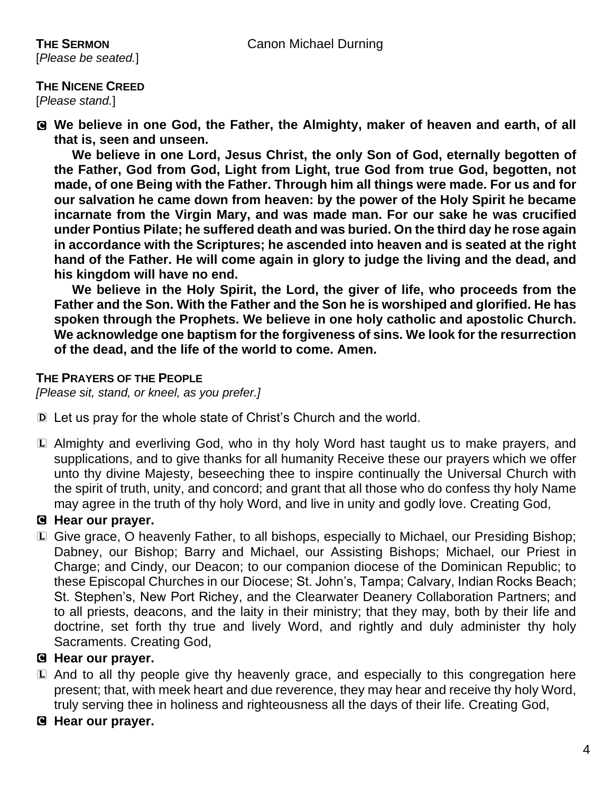[*Please be seated.*]

#### **THE NICENE CREED**

[*Please stand.*]

C **We believe in one God, the Father, the Almighty, maker of heaven and earth, of all that is, seen and unseen.** 

**We believe in one Lord, Jesus Christ, the only Son of God, eternally begotten of the Father, God from God, Light from Light, true God from true God, begotten, not made, of one Being with the Father. Through him all things were made. For us and for our salvation he came down from heaven: by the power of the Holy Spirit he became incarnate from the Virgin Mary, and was made man. For our sake he was crucified under Pontius Pilate; he suffered death and was buried. On the third day he rose again in accordance with the Scriptures; he ascended into heaven and is seated at the right hand of the Father. He will come again in glory to judge the living and the dead, and his kingdom will have no end.**

**We believe in the Holy Spirit, the Lord, the giver of life, who proceeds from the Father and the Son. With the Father and the Son he is worshiped and glorified. He has spoken through the Prophets. We believe in one holy catholic and apostolic Church. We acknowledge one baptism for the forgiveness of sins. We look for the resurrection of the dead, and the life of the world to come. Amen.**

#### **THE PRAYERS OF THE PEOPLE**

*[Please sit, stand, or kneel, as you prefer.]*

- D Let us pray for the whole state of Christ's Church and the world.
- L Almighty and everliving God, who in thy holy Word hast taught us to make prayers, and supplications, and to give thanks for all humanity Receive these our prayers which we offer unto thy divine Majesty, beseeching thee to inspire continually the Universal Church with the spirit of truth, unity, and concord; and grant that all those who do confess thy holy Name may agree in the truth of thy holy Word, and live in unity and godly love. Creating God,

### C **Hear our prayer.**

L Give grace, O heavenly Father, to all bishops, especially to Michael, our Presiding Bishop; Dabney, our Bishop; Barry and Michael, our Assisting Bishops; Michael, our Priest in Charge; and Cindy, our Deacon; to our companion diocese of the Dominican Republic; to these Episcopal Churches in our Diocese; St. John's, Tampa; Calvary, Indian Rocks Beach; St. Stephen's, New Port Richey, and the Clearwater Deanery Collaboration Partners; and to all priests, deacons, and the laity in their ministry; that they may, both by their life and doctrine, set forth thy true and lively Word, and rightly and duly administer thy holy Sacraments. Creating God,

#### C **Hear our prayer.**

L And to all thy people give thy heavenly grace, and especially to this congregation here present; that, with meek heart and due reverence, they may hear and receive thy holy Word, truly serving thee in holiness and righteousness all the days of their life. Creating God,

#### C **Hear our prayer.**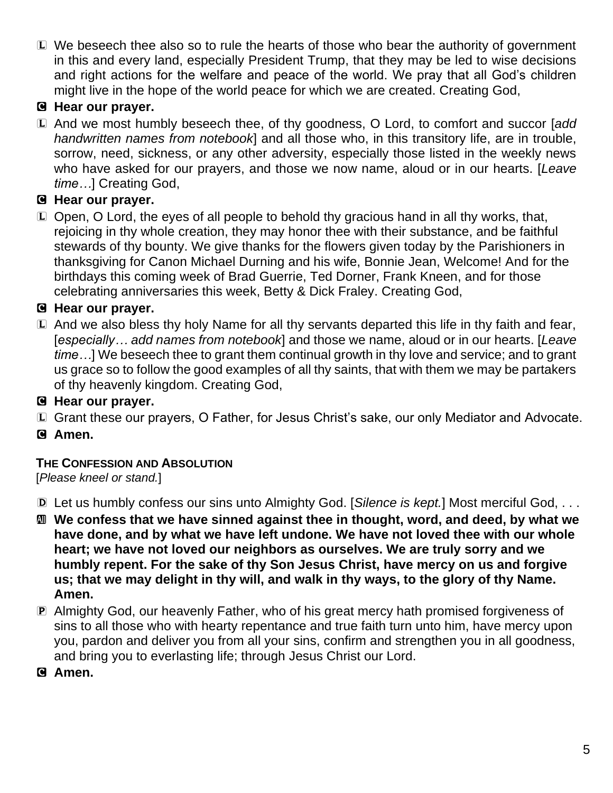L We beseech thee also so to rule the hearts of those who bear the authority of government in this and every land, especially President Trump, that they may be led to wise decisions and right actions for the welfare and peace of the world. We pray that all God's children might live in the hope of the world peace for which we are created. Creating God,

# C **Hear our prayer.**

L And we most humbly beseech thee, of thy goodness, O Lord, to comfort and succor [*add handwritten names from notebook*] and all those who, in this transitory life, are in trouble, sorrow, need, sickness, or any other adversity, especially those listed in the weekly news who have asked for our prayers, and those we now name, aloud or in our hearts. [*Leave time…*] Creating God,

# C **Hear our prayer.**

L Open, O Lord, the eyes of all people to behold thy gracious hand in all thy works, that, rejoicing in thy whole creation, they may honor thee with their substance, and be faithful stewards of thy bounty. We give thanks for the flowers given today by the Parishioners in thanksgiving for Canon Michael Durning and his wife, Bonnie Jean, Welcome! And for the birthdays this coming week of Brad Guerrie, Ted Dorner, Frank Kneen, and for those celebrating anniversaries this week, Betty & Dick Fraley. Creating God,

# C **Hear our prayer.**

L And we also bless thy holy Name for all thy servants departed this life in thy faith and fear, [*especially… add names from notebook*] and those we name, aloud or in our hearts. [*Leave time…*] We beseech thee to grant them continual growth in thy love and service; and to grant us grace so to follow the good examples of all thy saints, that with them we may be partakers of thy heavenly kingdom. Creating God,

# C **Hear our prayer.**

- L Grant these our prayers, O Father, for Jesus Christ's sake, our only Mediator and Advocate.
- C **Amen.**

### **THE CONFESSION AND ABSOLUTION**

[*Please kneel or stand.*]

- D Let us humbly confess our sins unto Almighty God. [*Silence is kept.*] Most merciful God, . . .
- $\mathbf{M}$  **We confess that we have sinned against thee in thought, word, and deed, by what we have done, and by what we have left undone. We have not loved thee with our whole heart; we have not loved our neighbors as ourselves. We are truly sorry and we humbly repent. For the sake of thy Son Jesus Christ, have mercy on us and forgive us; that we may delight in thy will, and walk in thy ways, to the glory of thy Name. Amen.**
- P Almighty God, our heavenly Father, who of his great mercy hath promised forgiveness of sins to all those who with hearty repentance and true faith turn unto him, have mercy upon you, pardon and deliver you from all your sins, confirm and strengthen you in all goodness, and bring you to everlasting life; through Jesus Christ our Lord.
- C **Amen.**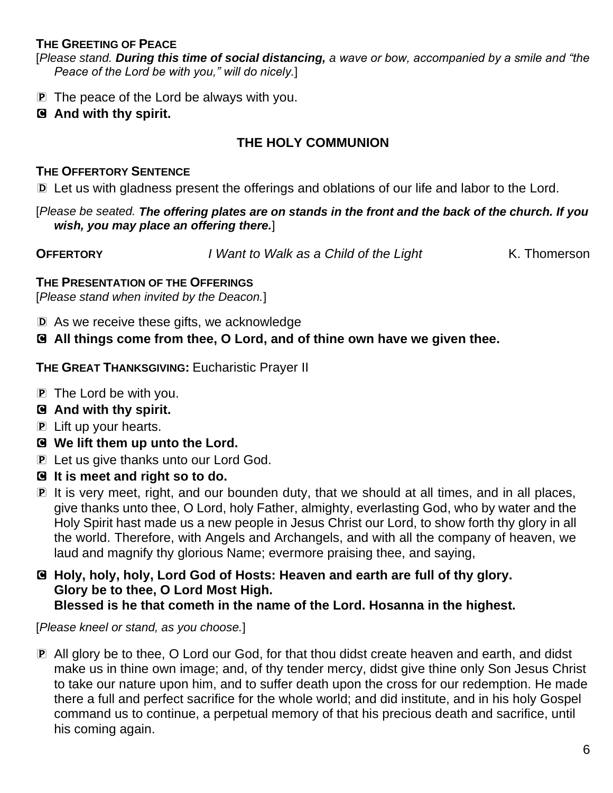### **THE GREETING OF PEACE**

[*Please stand. During this time of social distancing, a wave or bow, accompanied by a smile and "the Peace of the Lord be with you," will do nicely.*]

- **P** The peace of the Lord be always with you.
- C **And with thy spirit.**

### **THE HOLY COMMUNION**

#### **THE OFFERTORY SENTENCE**

D Let us with gladness present the offerings and oblations of our life and labor to the Lord.

[*Please be seated. The offering plates are on stands in the front and the back of the church. If you wish, you may place an offering there.*]

**OFFERTORY** *I Want to Walk as a Child of the Light* K. Thomerson

**THE PRESENTATION OF THE OFFERINGS**

[*Please stand when invited by the Deacon.*]

D As we receive these gifts, we acknowledge

C **All things come from thee, O Lord, and of thine own have we given thee.**

**THE GREAT THANKSGIVING:** Eucharistic Prayer II

- P The Lord be with you.
- C **And with thy spirit.**
- P Lift up your hearts.
- C **We lift them up unto the Lord.**
- P Let us give thanks unto our Lord God.
- C **It is meet and right so to do.**
- P It is very meet, right, and our bounden duty, that we should at all times, and in all places, give thanks unto thee, O Lord, holy Father, almighty, everlasting God, who by water and the Holy Spirit hast made us a new people in Jesus Christ our Lord, to show forth thy glory in all the world. Therefore, with Angels and Archangels, and with all the company of heaven, we laud and magnify thy glorious Name; evermore praising thee, and saying,

#### C **Holy, holy, holy, Lord God of Hosts: Heaven and earth are full of thy glory. Glory be to thee, O Lord Most High. Blessed is he that cometh in the name of the Lord. Hosanna in the highest.**

[*Please kneel or stand, as you choose.*]

P All glory be to thee, O Lord our God, for that thou didst create heaven and earth, and didst make us in thine own image; and, of thy tender mercy, didst give thine only Son Jesus Christ to take our nature upon him, and to suffer death upon the cross for our redemption. He made there a full and perfect sacrifice for the whole world; and did institute, and in his holy Gospel command us to continue, a perpetual memory of that his precious death and sacrifice, until his coming again.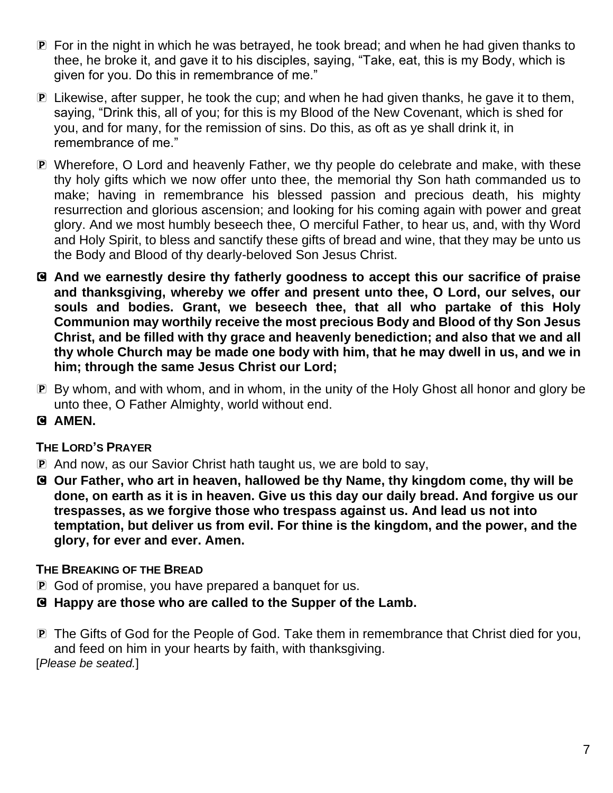- P For in the night in which he was betrayed, he took bread; and when he had given thanks to thee, he broke it, and gave it to his disciples, saying, "Take, eat, this is my Body, which is given for you. Do this in remembrance of me."
- P Likewise, after supper, he took the cup; and when he had given thanks, he gave it to them, saying, "Drink this, all of you; for this is my Blood of the New Covenant, which is shed for you, and for many, for the remission of sins. Do this, as oft as ye shall drink it, in remembrance of me."
- P Wherefore, O Lord and heavenly Father, we thy people do celebrate and make, with these thy holy gifts which we now offer unto thee, the memorial thy Son hath commanded us to make; having in remembrance his blessed passion and precious death, his mighty resurrection and glorious ascension; and looking for his coming again with power and great glory. And we most humbly beseech thee, O merciful Father, to hear us, and, with thy Word and Holy Spirit, to bless and sanctify these gifts of bread and wine, that they may be unto us the Body and Blood of thy dearly-beloved Son Jesus Christ.
- C **And we earnestly desire thy fatherly goodness to accept this our sacrifice of praise and thanksgiving, whereby we offer and present unto thee, O Lord, our selves, our souls and bodies. Grant, we beseech thee, that all who partake of this Holy Communion may worthily receive the most precious Body and Blood of thy Son Jesus Christ, and be filled with thy grace and heavenly benediction; and also that we and all thy whole Church may be made one body with him, that he may dwell in us, and we in him; through the same Jesus Christ our Lord;**
- P By whom, and with whom, and in whom, in the unity of the Holy Ghost all honor and glory be unto thee, O Father Almighty, world without end.
- C **AMEN.**

### **THE LORD'S PRAYER**

- P And now, as our Savior Christ hath taught us, we are bold to say,
- C **Our Father, who art in heaven, hallowed be thy Name, thy kingdom come, thy will be done, on earth as it is in heaven. Give us this day our daily bread. And forgive us our trespasses, as we forgive those who trespass against us. And lead us not into temptation, but deliver us from evil. For thine is the kingdom, and the power, and the glory, for ever and ever. Amen.**

### **THE BREAKING OF THE BREAD**

- P God of promise, you have prepared a banquet for us.
- C **Happy are those who are called to the Supper of the Lamb.**
- P The Gifts of God for the People of God. Take them in remembrance that Christ died for you, and feed on him in your hearts by faith, with thanksgiving. [*Please be seated.*]